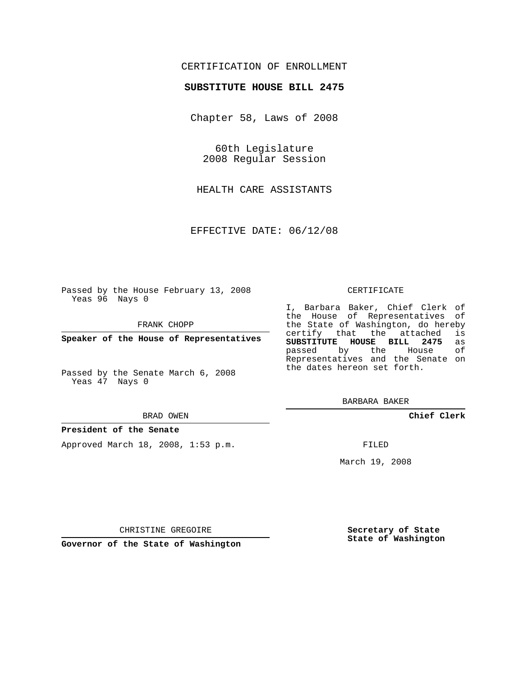## CERTIFICATION OF ENROLLMENT

## **SUBSTITUTE HOUSE BILL 2475**

Chapter 58, Laws of 2008

60th Legislature 2008 Regular Session

HEALTH CARE ASSISTANTS

EFFECTIVE DATE: 06/12/08

Passed by the House February 13, 2008 Yeas 96 Nays 0

FRANK CHOPP

**Speaker of the House of Representatives**

Passed by the Senate March 6, 2008 Yeas 47 Nays 0

#### BRAD OWEN

### **President of the Senate**

Approved March 18, 2008, 1:53 p.m.

#### CERTIFICATE

I, Barbara Baker, Chief Clerk of the House of Representatives of the State of Washington, do hereby<br>certify that the attached is certify that the attached **SUBSTITUTE HOUSE BILL 2475** as passed by the House Representatives and the Senate on the dates hereon set forth.

BARBARA BAKER

**Chief Clerk**

FILED

March 19, 2008

CHRISTINE GREGOIRE

**Governor of the State of Washington**

**Secretary of State State of Washington**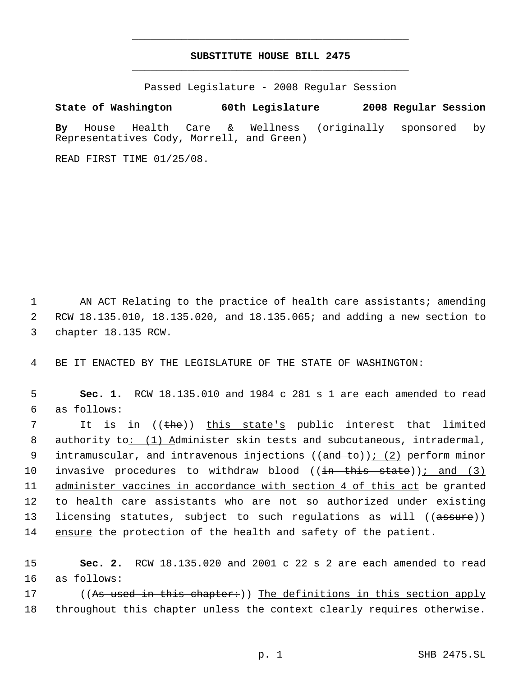# **SUBSTITUTE HOUSE BILL 2475** \_\_\_\_\_\_\_\_\_\_\_\_\_\_\_\_\_\_\_\_\_\_\_\_\_\_\_\_\_\_\_\_\_\_\_\_\_\_\_\_\_\_\_\_\_

\_\_\_\_\_\_\_\_\_\_\_\_\_\_\_\_\_\_\_\_\_\_\_\_\_\_\_\_\_\_\_\_\_\_\_\_\_\_\_\_\_\_\_\_\_

Passed Legislature - 2008 Regular Session

**State of Washington 60th Legislature 2008 Regular Session By** House Health Care & Wellness (originally sponsored by Representatives Cody, Morrell, and Green)

READ FIRST TIME 01/25/08.

1 AN ACT Relating to the practice of health care assistants; amending 2 RCW 18.135.010, 18.135.020, and 18.135.065; and adding a new section to 3 chapter 18.135 RCW.

4 BE IT ENACTED BY THE LEGISLATURE OF THE STATE OF WASHINGTON:

 5 **Sec. 1.** RCW 18.135.010 and 1984 c 281 s 1 are each amended to read 6 as follows:

7 It is in ((<del>the</del>)) <u>this state's</u> public interest that limited 8 authority to: (1) Administer skin tests and subcutaneous, intradermal, 9 intramuscular, and intravenous injections ((and to)); (2) perform minor 10 invasive procedures to withdraw blood ((<del>in this state</del>))<u>; and (3)</u> 11 administer vaccines in accordance with section 4 of this act be granted 12 to health care assistants who are not so authorized under existing 13 licensing statutes, subject to such regulations as will ((assure)) 14 ensure the protection of the health and safety of the patient.

15 **Sec. 2.** RCW 18.135.020 and 2001 c 22 s 2 are each amended to read 16 as follows:

17 ((As used in this chapter:)) The definitions in this section apply 18 throughout this chapter unless the context clearly requires otherwise.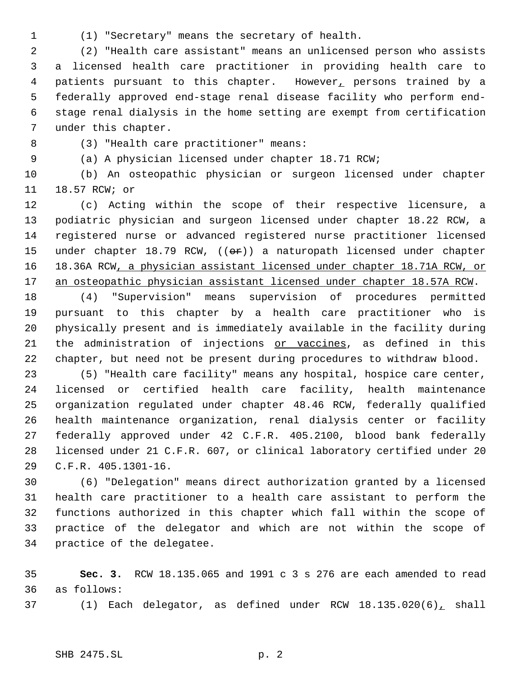(1) "Secretary" means the secretary of health.

 (2) "Health care assistant" means an unlicensed person who assists a licensed health care practitioner in providing health care to 4 patients pursuant to this chapter. However, persons trained by a federally approved end-stage renal disease facility who perform end- stage renal dialysis in the home setting are exempt from certification under this chapter.

(3) "Health care practitioner" means:

(a) A physician licensed under chapter 18.71 RCW;

 (b) An osteopathic physician or surgeon licensed under chapter 18.57 RCW; or

 (c) Acting within the scope of their respective licensure, a podiatric physician and surgeon licensed under chapter 18.22 RCW, a registered nurse or advanced registered nurse practitioner licensed 15 under chapter 18.79 RCW,  $(6\text{F})$  a naturopath licensed under chapter 18.36A RCW, a physician assistant licensed under chapter 18.71A RCW, or 17 an osteopathic physician assistant licensed under chapter 18.57A RCW.

 (4) "Supervision" means supervision of procedures permitted pursuant to this chapter by a health care practitioner who is physically present and is immediately available in the facility during 21 the administration of injections or vaccines, as defined in this chapter, but need not be present during procedures to withdraw blood.

 (5) "Health care facility" means any hospital, hospice care center, licensed or certified health care facility, health maintenance organization regulated under chapter 48.46 RCW, federally qualified health maintenance organization, renal dialysis center or facility federally approved under 42 C.F.R. 405.2100, blood bank federally licensed under 21 C.F.R. 607, or clinical laboratory certified under 20 C.F.R. 405.1301-16.

 (6) "Delegation" means direct authorization granted by a licensed health care practitioner to a health care assistant to perform the functions authorized in this chapter which fall within the scope of practice of the delegator and which are not within the scope of practice of the delegatee.

 **Sec. 3.** RCW 18.135.065 and 1991 c 3 s 276 are each amended to read as follows:

37 (1) Each delegator, as defined under RCW 18.135.020(6), shall